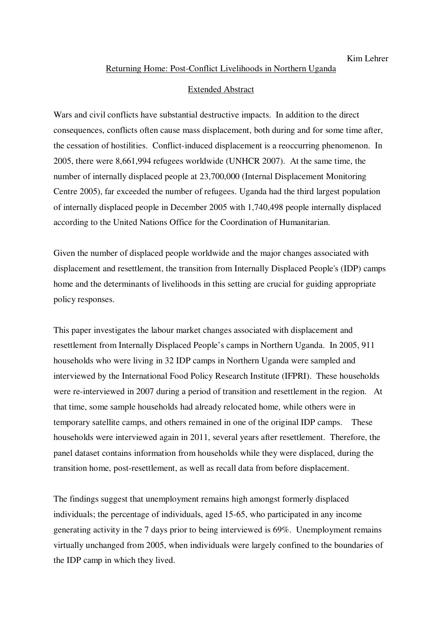#### Returning Home: Post-Conflict Livelihoods in Northern Uganda

## Extended Abstract

Wars and civil conflicts have substantial destructive impacts. In addition to the direct consequences, conflicts often cause mass displacement, both during and for some time after, the cessation of hostilities. Conflict-induced displacement is a reoccurring phenomenon. In 2005, there were 8,661,994 refugees worldwide (UNHCR 2007). At the same time, the number of internally displaced people at 23,700,000 (Internal Displacement Monitoring Centre 2005), far exceeded the number of refugees. Uganda had the third largest population of internally displaced people in December 2005 with 1,740,498 people internally displaced according to the United Nations Office for the Coordination of Humanitarian.

Given the number of displaced people worldwide and the major changes associated with displacement and resettlement, the transition from Internally Displaced People's (IDP) camps home and the determinants of livelihoods in this setting are crucial for guiding appropriate policy responses.

This paper investigates the labour market changes associated with displacement and resettlement from Internally Displaced People's camps in Northern Uganda. In 2005, 911 households who were living in 32 IDP camps in Northern Uganda were sampled and interviewed by the International Food Policy Research Institute (IFPRI). These households were re-interviewed in 2007 during a period of transition and resettlement in the region. At that time, some sample households had already relocated home, while others were in temporary satellite camps, and others remained in one of the original IDP camps. These households were interviewed again in 2011, several years after resettlement. Therefore, the panel dataset contains information from households while they were displaced, during the transition home, post-resettlement, as well as recall data from before displacement.

The findings suggest that unemployment remains high amongst formerly displaced individuals; the percentage of individuals, aged 15-65, who participated in any income generating activity in the 7 days prior to being interviewed is 69%. Unemployment remains virtually unchanged from 2005, when individuals were largely confined to the boundaries of the IDP camp in which they lived.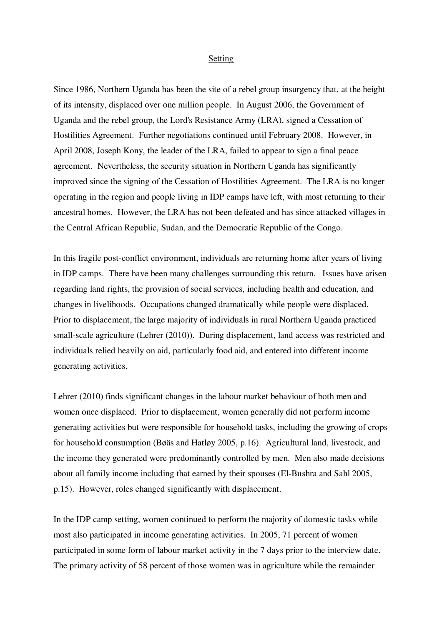#### Setting

Since 1986, Northern Uganda has been the site of a rebel group insurgency that, at the height of its intensity, displaced over one million people. In August 2006, the Government of Uganda and the rebel group, the Lord's Resistance Army (LRA), signed a Cessation of Hostilities Agreement. Further negotiations continued until February 2008. However, in April 2008, Joseph Kony, the leader of the LRA, failed to appear to sign a final peace agreement. Nevertheless, the security situation in Northern Uganda has significantly improved since the signing of the Cessation of Hostilities Agreement. The LRA is no longer operating in the region and people living in IDP camps have left, with most returning to their ancestral homes. However, the LRA has not been defeated and has since attacked villages in the Central African Republic, Sudan, and the Democratic Republic of the Congo.

In this fragile post-conflict environment, individuals are returning home after years of living in IDP camps. There have been many challenges surrounding this return. Issues have arisen regarding land rights, the provision of social services, including health and education, and changes in livelihoods. Occupations changed dramatically while people were displaced. Prior to displacement, the large majority of individuals in rural Northern Uganda practiced small-scale agriculture (Lehrer (2010)). During displacement, land access was restricted and individuals relied heavily on aid, particularly food aid, and entered into different income generating activities.

Lehrer (2010) finds significant changes in the labour market behaviour of both men and women once displaced. Prior to displacement, women generally did not perform income generating activities but were responsible for household tasks, including the growing of crops for household consumption (Bøäs and Hatløy 2005, p.16). Agricultural land, livestock, and the income they generated were predominantly controlled by men. Men also made decisions about all family income including that earned by their spouses (El-Bushra and Sahl 2005, p.15). However, roles changed significantly with displacement.

In the IDP camp setting, women continued to perform the majority of domestic tasks while most also participated in income generating activities. In 2005, 71 percent of women participated in some form of labour market activity in the 7 days prior to the interview date. The primary activity of 58 percent of those women was in agriculture while the remainder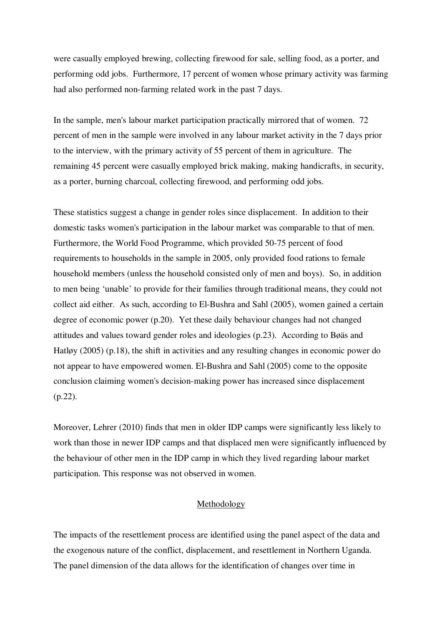were casually employed brewing, collecting firewood for sale, selling food, as a porter, and performing odd jobs. Furthermore, 17 percent of women whose primary activity was farming had also performed non-farming related work in the past 7 days.

In the sample, men's labour market participation practically mirrored that of women. 72 percent of men in the sample were involved in any labour market activity in the 7 days prior to the interview, with the primary activity of 55 percent of them in agriculture. The remaining 45 percent were casually employed brick making, making handicrafts, in security, as a porter, burning charcoal, collecting firewood, and performing odd jobs.

These statistics suggest a change in gender roles since displacement. In addition to their domestic tasks women's participation in the labour market was comparable to that of men. Furthermore, the World Food Programme, which provided 50-75 percent of food requirements to households in the sample in 2005, only provided food rations to female household members (unless the household consisted only of men and boys). So, in addition to men being 'unable' to provide for their families through traditional means, they could not collect aid either. As such, according to El-Bushra and Sahl (2005), women gained a certain degree of economic power (p.20). Yet these daily behaviour changes had not changed attitudes and values toward gender roles and ideologies (p.23). According to Bøäs and Hatløy (2005) (p.18), the shift in activities and any resulting changes in economic power do not appear to have empowered women. El-Bushra and Sahl (2005) come to the opposite conclusion claiming women's decision-making power has increased since displacement (p.22).

Moreover, Lehrer (2010) finds that men in older IDP camps were significantly less likely to work than those in newer IDP camps and that displaced men were significantly influenced by the behaviour of other men in the IDP camp in which they lived regarding labour market participation. This response was not observed in women.

#### Methodology

The impacts of the resettlement process are identified using the panel aspect of the data and the exogenous nature of the conflict, displacement, and resettlement in Northern Uganda. The panel dimension of the data allows for the identification of changes over time in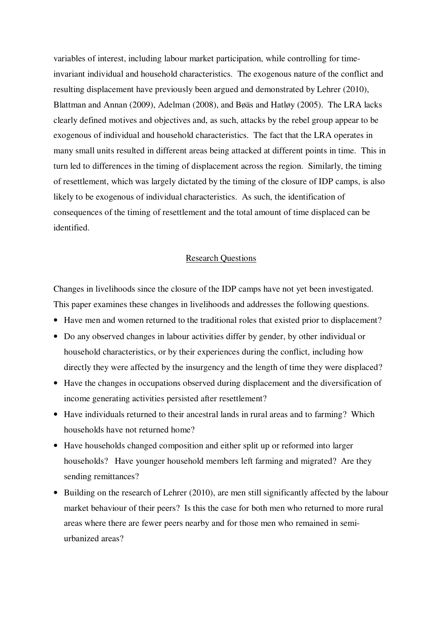variables of interest, including labour market participation, while controlling for timeinvariant individual and household characteristics. The exogenous nature of the conflict and resulting displacement have previously been argued and demonstrated by Lehrer (2010), Blattman and Annan (2009), Adelman (2008), and Bøäs and Hatløy (2005). The LRA lacks clearly defined motives and objectives and, as such, attacks by the rebel group appear to be exogenous of individual and household characteristics. The fact that the LRA operates in many small units resulted in different areas being attacked at different points in time. This in turn led to differences in the timing of displacement across the region. Similarly, the timing of resettlement, which was largely dictated by the timing of the closure of IDP camps, is also likely to be exogenous of individual characteristics. As such, the identification of consequences of the timing of resettlement and the total amount of time displaced can be identified.

### Research Questions

Changes in livelihoods since the closure of the IDP camps have not yet been investigated. This paper examines these changes in livelihoods and addresses the following questions.

- Have men and women returned to the traditional roles that existed prior to displacement?
- Do any observed changes in labour activities differ by gender, by other individual or household characteristics, or by their experiences during the conflict, including how directly they were affected by the insurgency and the length of time they were displaced?
- Have the changes in occupations observed during displacement and the diversification of income generating activities persisted after resettlement?
- Have individuals returned to their ancestral lands in rural areas and to farming? Which households have not returned home?
- Have households changed composition and either split up or reformed into larger households? Have younger household members left farming and migrated? Are they sending remittances?
- Building on the research of Lehrer (2010), are men still significantly affected by the labour market behaviour of their peers? Is this the case for both men who returned to more rural areas where there are fewer peers nearby and for those men who remained in semiurbanized areas?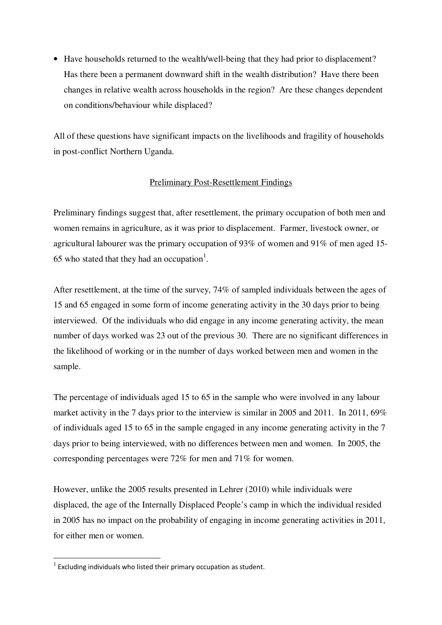• Have households returned to the wealth/well-being that they had prior to displacement? Has there been a permanent downward shift in the wealth distribution? Have there been changes in relative wealth across households in the region? Are these changes dependent on conditions/behaviour while displaced?

All of these questions have significant impacts on the livelihoods and fragility of households in post-conflict Northern Uganda.

# Preliminary Post-Resettlement Findings

Preliminary findings suggest that, after resettlement, the primary occupation of both men and women remains in agriculture, as it was prior to displacement. Farmer, livestock owner, or agricultural labourer was the primary occupation of 93% of women and 91% of men aged 15- 65 who stated that they had an occupation<sup>1</sup>.

After resettlement, at the time of the survey, 74% of sampled individuals between the ages of 15 and 65 engaged in some form of income generating activity in the 30 days prior to being interviewed. Of the individuals who did engage in any income generating activity, the mean number of days worked was 23 out of the previous 30. There are no significant differences in the likelihood of working or in the number of days worked between men and women in the sample.

The percentage of individuals aged 15 to 65 in the sample who were involved in any labour market activity in the 7 days prior to the interview is similar in 2005 and 2011. In 2011, 69% of individuals aged 15 to 65 in the sample engaged in any income generating activity in the 7 days prior to being interviewed, with no differences between men and women. In 2005, the corresponding percentages were 72% for men and 71% for women.

However, unlike the 2005 results presented in Lehrer (2010) while individuals were displaced, the age of the Internally Displaced People's camp in which the individual resided in 2005 has no impact on the probability of engaging in income generating activities in 2011, for either men or women.

 $\overline{a}$ 

 $1$  Excluding individuals who listed their primary occupation as student.